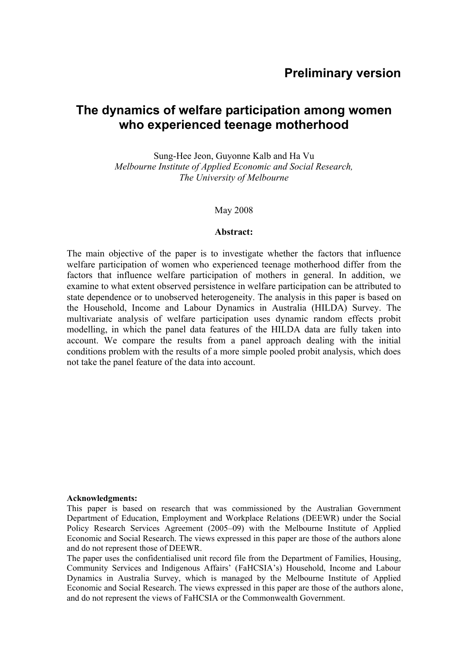# **Preliminary version**

# **The dynamics of welfare participation among women who experienced teenage motherhood**

Sung-Hee Jeon, Guyonne Kalb and Ha Vu *Melbourne Institute of Applied Economic and Social Research, The University of Melbourne*

May 2008

#### **Abstract:**

The main objective of the paper is to investigate whether the factors that influence welfare participation of women who experienced teenage motherhood differ from the factors that influence welfare participation of mothers in general. In addition, we examine to what extent observed persistence in welfare participation can be attributed to state dependence or to unobserved heterogeneity. The analysis in this paper is based on the Household, Income and Labour Dynamics in Australia (HILDA) Survey. The multivariate analysis of welfare participation uses dynamic random effects probit modelling, in which the panel data features of the HILDA data are fully taken into account. We compare the results from a panel approach dealing with the initial conditions problem with the results of a more simple pooled probit analysis, which does not take the panel feature of the data into account.

#### **Acknowledgments:**

This paper is based on research that was commissioned by the Australian Government Department of Education, Employment and Workplace Relations (DEEWR) under the Social Policy Research Services Agreement (2005–09) with the Melbourne Institute of Applied Economic and Social Research. The views expressed in this paper are those of the authors alone and do not represent those of DEEWR.

The paper uses the confidentialised unit record file from the Department of Families, Housing, Community Services and Indigenous Affairs' (FaHCSIA's) Household, Income and Labour Dynamics in Australia Survey, which is managed by the Melbourne Institute of Applied Economic and Social Research. The views expressed in this paper are those of the authors alone, and do not represent the views of FaHCSIA or the Commonwealth Government.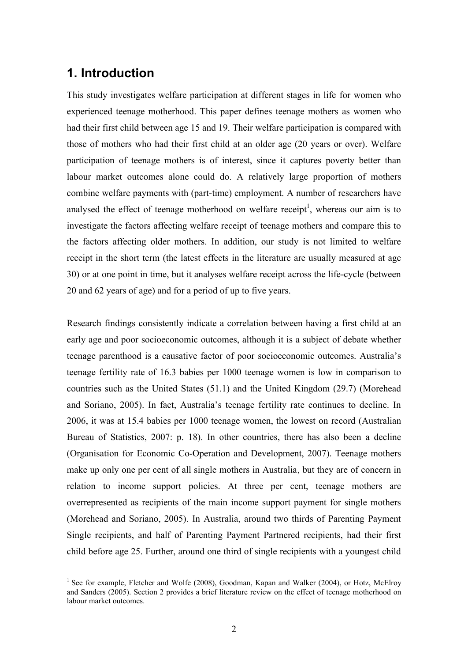# **1. Introduction**

This study investigates welfare participation at different stages in life for women who experienced teenage motherhood. This paper defines teenage mothers as women who had their first child between age 15 and 19. Their welfare participation is compared with those of mothers who had their first child at an older age (20 years or over). Welfare participation of teenage mothers is of interest, since it captures poverty better than labour market outcomes alone could do. A relatively large proportion of mothers combine welfare payments with (part-time) employment. A number of researchers have analysed the effect of teenage motherhood on welfare receipt<sup>1</sup>, whereas our aim is to investigate the factors affecting welfare receipt of teenage mothers and compare this to the factors affecting older mothers. In addition, our study is not limited to welfare receipt in the short term (the latest effects in the literature are usually measured at age 30) or at one point in time, but it analyses welfare receipt across the life-cycle (between 20 and 62 years of age) and for a period of up to five years.

Research findings consistently indicate a correlation between having a first child at an early age and poor socioeconomic outcomes, although it is a subject of debate whether teenage parenthood is a causative factor of poor socioeconomic outcomes. Australia's teenage fertility rate of 16.3 babies per 1000 teenage women is low in comparison to countries such as the United States (51.1) and the United Kingdom (29.7) (Morehead and Soriano, 2005). In fact, Australia's teenage fertility rate continues to decline. In 2006, it was at 15.4 babies per 1000 teenage women, the lowest on record (Australian Bureau of Statistics, 2007: p. 18). In other countries, there has also been a decline (Organisation for Economic Co-Operation and Development, 2007). Teenage mothers make up only one per cent of all single mothers in Australia, but they are of concern in relation to income support policies. At three per cent, teenage mothers are overrepresented as recipients of the main income support payment for single mothers (Morehead and Soriano, 2005). In Australia, around two thirds of Parenting Payment Single recipients, and half of Parenting Payment Partnered recipients, had their first child before age 25. Further, around one third of single recipients with a youngest child

<sup>&</sup>lt;sup>1</sup> See for example, Fletcher and Wolfe (2008), Goodman, Kapan and Walker (2004), or Hotz, McElroy and Sanders (2005). Section 2 provides a brief literature review on the effect of teenage motherhood on labour market outcomes.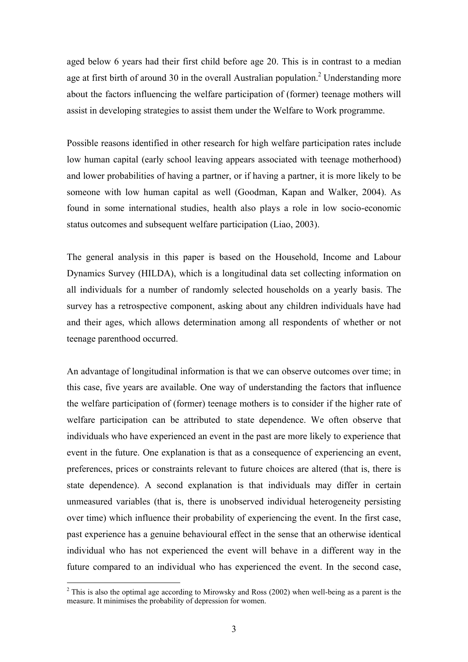aged below 6 years had their first child before age 20. This is in contrast to a median age at first birth of around 30 in the overall Australian population.<sup>2</sup> Understanding more about the factors influencing the welfare participation of (former) teenage mothers will assist in developing strategies to assist them under the Welfare to Work programme.

Possible reasons identified in other research for high welfare participation rates include low human capital (early school leaving appears associated with teenage motherhood) and lower probabilities of having a partner, or if having a partner, it is more likely to be someone with low human capital as well (Goodman, Kapan and Walker, 2004). As found in some international studies, health also plays a role in low socio-economic status outcomes and subsequent welfare participation (Liao, 2003).

The general analysis in this paper is based on the Household, Income and Labour Dynamics Survey (HILDA), which is a longitudinal data set collecting information on all individuals for a number of randomly selected households on a yearly basis. The survey has a retrospective component, asking about any children individuals have had and their ages, which allows determination among all respondents of whether or not teenage parenthood occurred.

An advantage of longitudinal information is that we can observe outcomes over time; in this case, five years are available. One way of understanding the factors that influence the welfare participation of (former) teenage mothers is to consider if the higher rate of welfare participation can be attributed to state dependence. We often observe that individuals who have experienced an event in the past are more likely to experience that event in the future. One explanation is that as a consequence of experiencing an event, preferences, prices or constraints relevant to future choices are altered (that is, there is state dependence). A second explanation is that individuals may differ in certain unmeasured variables (that is, there is unobserved individual heterogeneity persisting over time) which influence their probability of experiencing the event. In the first case, past experience has a genuine behavioural effect in the sense that an otherwise identical individual who has not experienced the event will behave in a different way in the future compared to an individual who has experienced the event. In the second case,

 $\overline{a}$ 

<sup>&</sup>lt;sup>2</sup> This is also the optimal age according to Mirowsky and Ross (2002) when well-being as a parent is the measure. It minimises the probability of depression for women.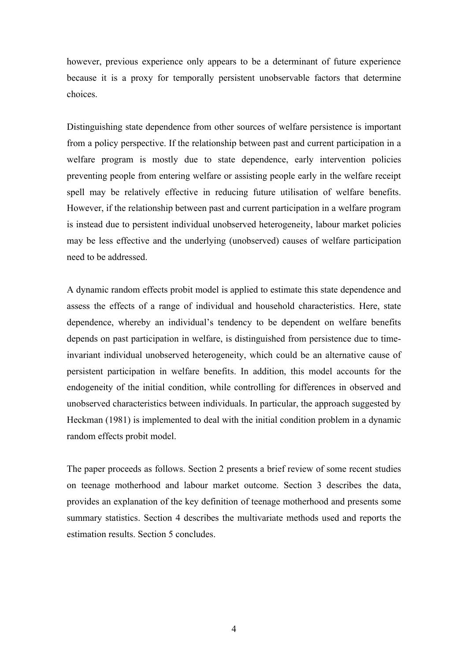however, previous experience only appears to be a determinant of future experience because it is a proxy for temporally persistent unobservable factors that determine choices.

Distinguishing state dependence from other sources of welfare persistence is important from a policy perspective. If the relationship between past and current participation in a welfare program is mostly due to state dependence, early intervention policies preventing people from entering welfare or assisting people early in the welfare receipt spell may be relatively effective in reducing future utilisation of welfare benefits. However, if the relationship between past and current participation in a welfare program is instead due to persistent individual unobserved heterogeneity, labour market policies may be less effective and the underlying (unobserved) causes of welfare participation need to be addressed.

A dynamic random effects probit model is applied to estimate this state dependence and assess the effects of a range of individual and household characteristics. Here, state dependence, whereby an individual's tendency to be dependent on welfare benefits depends on past participation in welfare, is distinguished from persistence due to timeinvariant individual unobserved heterogeneity, which could be an alternative cause of persistent participation in welfare benefits. In addition, this model accounts for the endogeneity of the initial condition, while controlling for differences in observed and unobserved characteristics between individuals. In particular, the approach suggested by Heckman (1981) is implemented to deal with the initial condition problem in a dynamic random effects probit model.

The paper proceeds as follows. Section 2 presents a brief review of some recent studies on teenage motherhood and labour market outcome. Section 3 describes the data, provides an explanation of the key definition of teenage motherhood and presents some summary statistics. Section 4 describes the multivariate methods used and reports the estimation results. Section 5 concludes.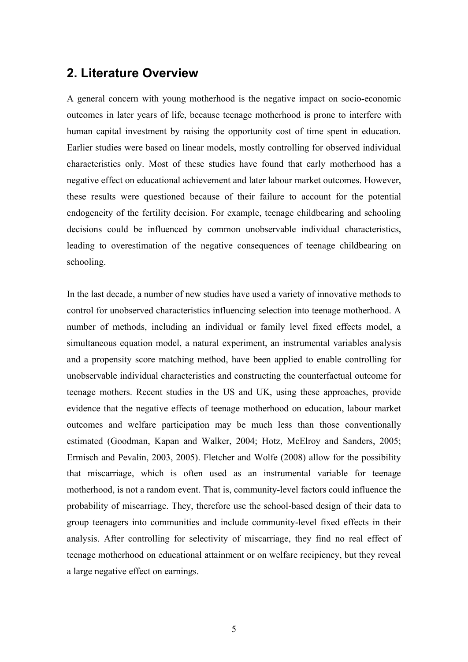# **2. Literature Overview**

A general concern with young motherhood is the negative impact on socio-economic outcomes in later years of life, because teenage motherhood is prone to interfere with human capital investment by raising the opportunity cost of time spent in education. Earlier studies were based on linear models, mostly controlling for observed individual characteristics only. Most of these studies have found that early motherhood has a negative effect on educational achievement and later labour market outcomes. However, these results were questioned because of their failure to account for the potential endogeneity of the fertility decision. For example, teenage childbearing and schooling decisions could be influenced by common unobservable individual characteristics, leading to overestimation of the negative consequences of teenage childbearing on schooling.

In the last decade, a number of new studies have used a variety of innovative methods to control for unobserved characteristics influencing selection into teenage motherhood. A number of methods, including an individual or family level fixed effects model, a simultaneous equation model, a natural experiment, an instrumental variables analysis and a propensity score matching method, have been applied to enable controlling for unobservable individual characteristics and constructing the counterfactual outcome for teenage mothers. Recent studies in the US and UK, using these approaches, provide evidence that the negative effects of teenage motherhood on education, labour market outcomes and welfare participation may be much less than those conventionally estimated (Goodman, Kapan and Walker, 2004; Hotz, McElroy and Sanders, 2005; Ermisch and Pevalin, 2003, 2005). Fletcher and Wolfe (2008) allow for the possibility that miscarriage, which is often used as an instrumental variable for teenage motherhood, is not a random event. That is, community-level factors could influence the probability of miscarriage. They, therefore use the school-based design of their data to group teenagers into communities and include community-level fixed effects in their analysis. After controlling for selectivity of miscarriage, they find no real effect of teenage motherhood on educational attainment or on welfare recipiency, but they reveal a large negative effect on earnings.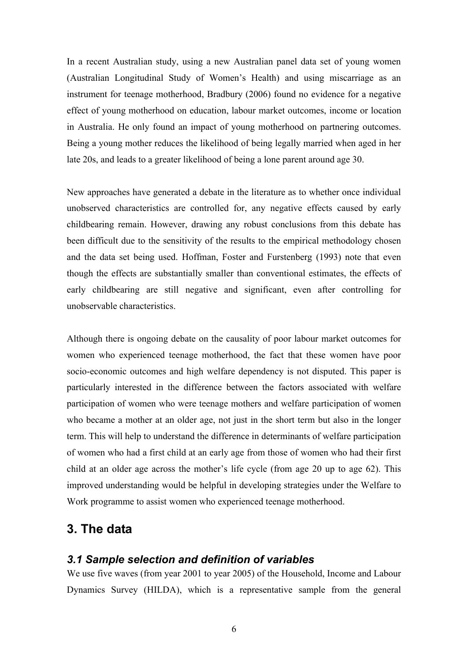In a recent Australian study, using a new Australian panel data set of young women (Australian Longitudinal Study of Women's Health) and using miscarriage as an instrument for teenage motherhood, Bradbury (2006) found no evidence for a negative effect of young motherhood on education, labour market outcomes, income or location in Australia. He only found an impact of young motherhood on partnering outcomes. Being a young mother reduces the likelihood of being legally married when aged in her late 20s, and leads to a greater likelihood of being a lone parent around age 30.

New approaches have generated a debate in the literature as to whether once individual unobserved characteristics are controlled for, any negative effects caused by early childbearing remain. However, drawing any robust conclusions from this debate has been difficult due to the sensitivity of the results to the empirical methodology chosen and the data set being used. Hoffman, Foster and Furstenberg (1993) note that even though the effects are substantially smaller than conventional estimates, the effects of early childbearing are still negative and significant, even after controlling for unobservable characteristics.

Although there is ongoing debate on the causality of poor labour market outcomes for women who experienced teenage motherhood, the fact that these women have poor socio-economic outcomes and high welfare dependency is not disputed. This paper is particularly interested in the difference between the factors associated with welfare participation of women who were teenage mothers and welfare participation of women who became a mother at an older age, not just in the short term but also in the longer term. This will help to understand the difference in determinants of welfare participation of women who had a first child at an early age from those of women who had their first child at an older age across the mother's life cycle (from age 20 up to age 62). This improved understanding would be helpful in developing strategies under the Welfare to Work programme to assist women who experienced teenage motherhood.

# **3. The data**

### *3.1 Sample selection and definition of variables*

We use five waves (from year 2001 to year 2005) of the Household, Income and Labour Dynamics Survey (HILDA), which is a representative sample from the general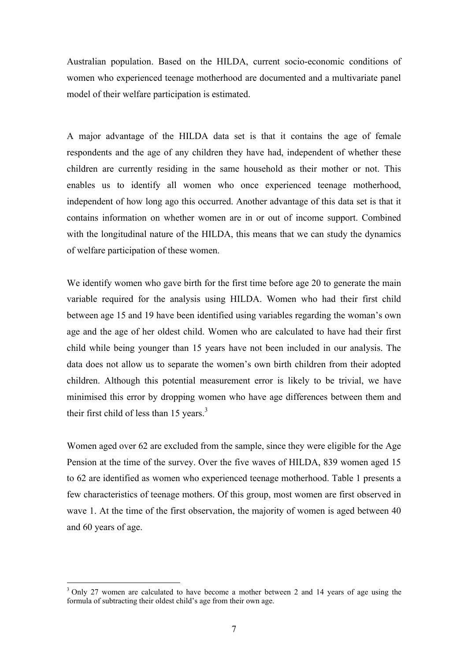Australian population. Based on the HILDA, current socio-economic conditions of women who experienced teenage motherhood are documented and a multivariate panel model of their welfare participation is estimated.

A major advantage of the HILDA data set is that it contains the age of female respondents and the age of any children they have had, independent of whether these children are currently residing in the same household as their mother or not. This enables us to identify all women who once experienced teenage motherhood, independent of how long ago this occurred. Another advantage of this data set is that it contains information on whether women are in or out of income support. Combined with the longitudinal nature of the HILDA, this means that we can study the dynamics of welfare participation of these women.

We identify women who gave birth for the first time before age 20 to generate the main variable required for the analysis using HILDA. Women who had their first child between age 15 and 19 have been identified using variables regarding the woman's own age and the age of her oldest child. Women who are calculated to have had their first child while being younger than 15 years have not been included in our analysis. The data does not allow us to separate the women's own birth children from their adopted children. Although this potential measurement error is likely to be trivial, we have minimised this error by dropping women who have age differences between them and their first child of less than  $15$  years.<sup>3</sup>

Women aged over 62 are excluded from the sample, since they were eligible for the Age Pension at the time of the survey. Over the five waves of HILDA, 839 women aged 15 to 62 are identified as women who experienced teenage motherhood. Table 1 presents a few characteristics of teenage mothers. Of this group, most women are first observed in wave 1. At the time of the first observation, the majority of women is aged between 40 and 60 years of age.

 $\overline{a}$ 

<sup>&</sup>lt;sup>3</sup> Only 27 women are calculated to have become a mother between 2 and 14 years of age using the formula of subtracting their oldest child's age from their own age.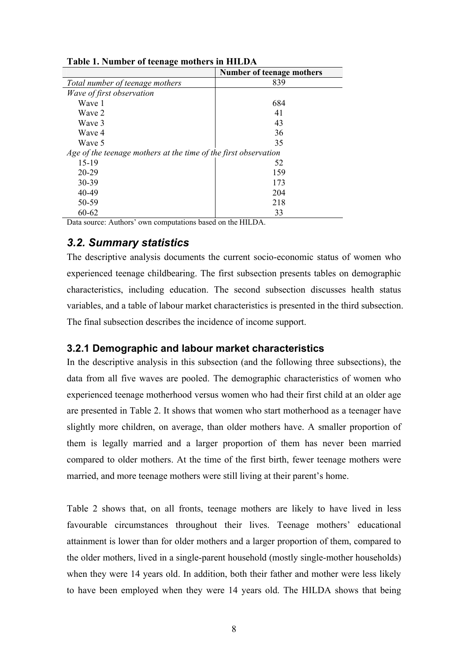|                                                                 | Number of teenage mothers |
|-----------------------------------------------------------------|---------------------------|
| Total number of teenage mothers                                 | 839                       |
| Wave of first observation                                       |                           |
| Wave 1                                                          | 684                       |
| Wave 2                                                          | 41                        |
| Wave 3                                                          | 43                        |
| Wave 4                                                          | 36                        |
| Wave 5                                                          | 35                        |
| Age of the teenage mothers at the time of the first observation |                           |
| 15-19                                                           | 52                        |
| $20 - 29$                                                       | 159                       |
| 30-39                                                           | 173                       |
| 40-49                                                           | 204                       |
| 50-59                                                           | 218                       |
| 60-62                                                           | 33                        |

**Table 1. Number of teenage mothers in HILDA** 

Data source: Authors' own computations based on the HILDA.

## *3.2. Summary statistics*

The descriptive analysis documents the current socio-economic status of women who experienced teenage childbearing. The first subsection presents tables on demographic characteristics, including education. The second subsection discusses health status variables, and a table of labour market characteristics is presented in the third subsection. The final subsection describes the incidence of income support.

## **3.2.1 Demographic and labour market characteristics**

In the descriptive analysis in this subsection (and the following three subsections), the data from all five waves are pooled. The demographic characteristics of women who experienced teenage motherhood versus women who had their first child at an older age are presented in Table 2. It shows that women who start motherhood as a teenager have slightly more children, on average, than older mothers have. A smaller proportion of them is legally married and a larger proportion of them has never been married compared to older mothers. At the time of the first birth, fewer teenage mothers were married, and more teenage mothers were still living at their parent's home.

Table 2 shows that, on all fronts, teenage mothers are likely to have lived in less favourable circumstances throughout their lives. Teenage mothers' educational attainment is lower than for older mothers and a larger proportion of them, compared to the older mothers, lived in a single-parent household (mostly single-mother households) when they were 14 years old. In addition, both their father and mother were less likely to have been employed when they were 14 years old. The HILDA shows that being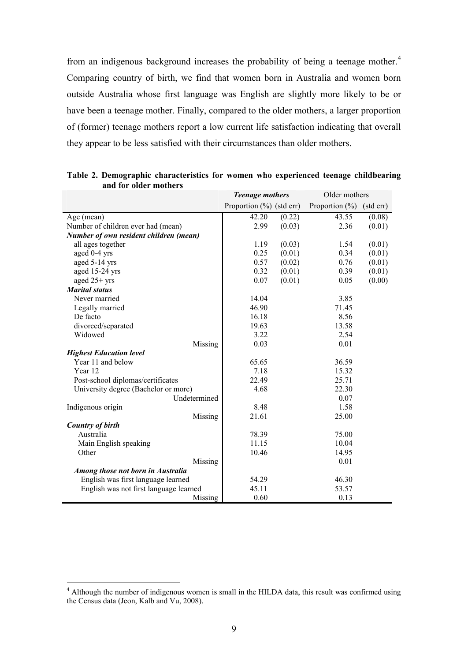from an indigenous background increases the probability of being a teenage mother.<sup>4</sup> Comparing country of birth, we find that women born in Australia and women born outside Australia whose first language was English are slightly more likely to be or have been a teenage mother. Finally, compared to the older mothers, a larger proportion of (former) teenage mothers report a low current life satisfaction indicating that overall they appear to be less satisfied with their circumstances than older mothers.

|                                        | <b>Teenage mothers</b>       |        | Older mothers      |           |
|----------------------------------------|------------------------------|--------|--------------------|-----------|
|                                        | Proportion $(\% )$ (std err) |        | Proportion $(\% )$ | (std err) |
| Age (mean)                             | 42.20                        | (0.22) | 43.55              | (0.08)    |
| Number of children ever had (mean)     | 2.99                         | (0.03) | 2.36               | (0.01)    |
| Number of own resident children (mean) |                              |        |                    |           |
| all ages together                      | 1.19                         | (0.03) | 1.54               | (0.01)    |
| aged 0-4 yrs                           | 0.25                         | (0.01) | 0.34               | (0.01)    |
| aged 5-14 yrs                          | 0.57                         | (0.02) | 0.76               | (0.01)    |
| aged 15-24 yrs                         | 0.32                         | (0.01) | 0.39               | (0.01)    |
| aged $25+$ yrs                         | 0.07                         | (0.01) | 0.05               | (0.00)    |
| <b>Marital status</b>                  |                              |        |                    |           |
| Never married                          | 14.04                        |        | 3.85               |           |
| Legally married                        | 46.90                        |        | 71.45              |           |
| De facto                               | 16.18                        |        | 8.56               |           |
| divorced/separated                     | 19.63                        |        | 13.58              |           |
| Widowed                                | 3.22                         |        | 2.54               |           |
| Missing                                | 0.03                         |        | 0.01               |           |
| <b>Highest Education level</b>         |                              |        |                    |           |
| Year 11 and below                      | 65.65                        |        | 36.59              |           |
| Year 12                                | 7.18                         |        | 15.32              |           |
| Post-school diplomas/certificates      | 22.49                        |        | 25.71              |           |
| University degree (Bachelor or more)   | 4.68                         |        | 22.30              |           |
| Undetermined                           |                              |        | 0.07               |           |
| Indigenous origin                      | 8.48                         |        | 1.58               |           |
| Missing                                | 21.61                        |        | 25.00              |           |
| <b>Country of birth</b>                |                              |        |                    |           |
| Australia                              | 78.39                        |        | 75.00              |           |
| Main English speaking                  | 11.15                        |        | 10.04              |           |
| Other                                  | 10.46                        |        | 14.95              |           |
| Missing                                |                              |        | 0.01               |           |
| Among those not born in Australia      |                              |        |                    |           |
| English was first language learned     | 54.29                        |        | 46.30              |           |
| English was not first language learned | 45.11                        |        | 53.57              |           |
| Missing                                | 0.60                         |        | 0.13               |           |

**Table 2. Demographic characteristics for women who experienced teenage childbearing and for older mothers**

 $\overline{a}$ 

<sup>&</sup>lt;sup>4</sup> Although the number of indigenous women is small in the HILDA data, this result was confirmed using the Census data (Jeon, Kalb and Vu, 2008).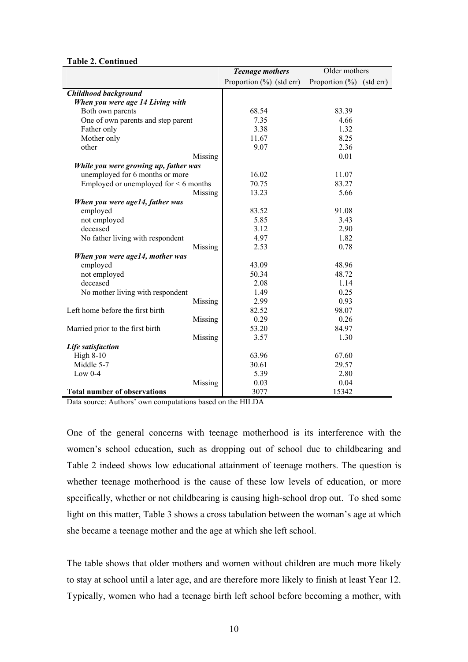|                                            | Older mothers<br><b>Teenage mothers</b> |                              |  |
|--------------------------------------------|-----------------------------------------|------------------------------|--|
|                                            | Proportion $(\% )$ (std err)            | Proportion $(\% )$ (std err) |  |
| Childhood background                       |                                         |                              |  |
| When you were age 14 Living with           |                                         |                              |  |
| Both own parents                           | 68.54                                   | 83.39                        |  |
| One of own parents and step parent         | 7.35                                    | 4.66                         |  |
| Father only                                | 3.38                                    | 1.32                         |  |
| Mother only                                | 11.67                                   | 8.25                         |  |
| other                                      | 9.07                                    | 2.36                         |  |
| Missing                                    |                                         | 0.01                         |  |
| While you were growing up, father was      |                                         |                              |  |
| unemployed for 6 months or more            | 16.02                                   | 11.07                        |  |
| Employed or unemployed for $\leq 6$ months | 70.75                                   | 83.27                        |  |
| Missing                                    | 13.23                                   | 5.66                         |  |
| When you were age14, father was            |                                         |                              |  |
| employed                                   | 83.52                                   | 91.08                        |  |
| not employed                               | 5.85                                    | 3.43                         |  |
| deceased                                   | 3.12                                    | 2.90                         |  |
| No father living with respondent           | 4.97                                    | 1.82                         |  |
| Missing                                    | 2.53                                    | 0.78                         |  |
| When you were age14, mother was            |                                         |                              |  |
| employed                                   | 43.09                                   | 48.96                        |  |
| not employed                               | 50.34                                   | 48.72                        |  |
| deceased                                   | 2.08                                    | 1.14                         |  |
| No mother living with respondent           | 1.49                                    | 0.25                         |  |
| Missing                                    | 2.99                                    | 0.93                         |  |
| Left home before the first birth           | 82.52                                   | 98.07                        |  |
| Missing                                    | 0.29                                    | 0.26                         |  |
| Married prior to the first birth           | 53.20                                   | 84.97                        |  |
| Missing                                    | 3.57                                    | 1.30                         |  |
| Life satisfaction                          |                                         |                              |  |
| <b>High 8-10</b>                           | 63.96                                   | 67.60                        |  |
| Middle 5-7                                 | 30.61                                   | 29.57                        |  |
| Low $0-4$                                  | 5.39                                    | 2.80                         |  |
| Missing                                    | 0.03                                    | 0.04                         |  |
| <b>Total number of observations</b>        | 3077                                    | 15342                        |  |

#### **Table 2. Continued**

Data source: Authors' own computations based on the HILDA

One of the general concerns with teenage motherhood is its interference with the women's school education, such as dropping out of school due to childbearing and Table 2 indeed shows low educational attainment of teenage mothers. The question is whether teenage motherhood is the cause of these low levels of education, or more specifically, whether or not childbearing is causing high-school drop out. To shed some light on this matter, Table 3 shows a cross tabulation between the woman's age at which she became a teenage mother and the age at which she left school.

The table shows that older mothers and women without children are much more likely to stay at school until a later age, and are therefore more likely to finish at least Year 12. Typically, women who had a teenage birth left school before becoming a mother, with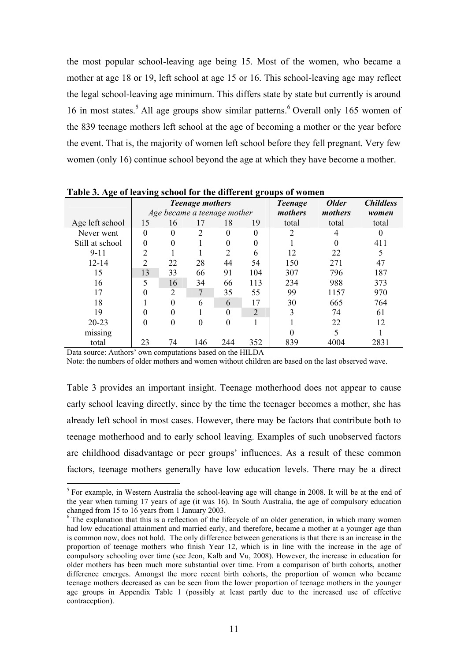the most popular school-leaving age being 15. Most of the women, who became a mother at age 18 or 19, left school at age 15 or 16. This school-leaving age may reflect the legal school-leaving age minimum. This differs state by state but currently is around 16 in most states.<sup>5</sup> All age groups show similar patterns.<sup>6</sup> Overall only 165 women of the 839 teenage mothers left school at the age of becoming a mother or the year before the event. That is, the majority of women left school before they fell pregnant. Very few women (only 16) continue school beyond the age at which they have become a mother.

| Tuble of the of features sendor for the units che groups of women |                        |          |                             |          |                |              |                  |       |
|-------------------------------------------------------------------|------------------------|----------|-----------------------------|----------|----------------|--------------|------------------|-------|
|                                                                   | <b>Teenage mothers</b> |          |                             |          | <b>Teenage</b> | <b>Older</b> | <b>Childless</b> |       |
|                                                                   |                        |          | Age became a teenage mother |          |                | mothers      | mothers          | women |
| Age left school                                                   | 15                     | 16       | 17                          | 18       | 19             | total        | total            | total |
| Never went                                                        | $\theta$               | $\Omega$ | $\overline{2}$              | $\theta$ | $\theta$       | 2            | 4                |       |
| Still at school                                                   | $\theta$               | $\theta$ |                             | $\theta$ | 0              |              | 0                | 411   |
| $9 - 11$                                                          | 2                      |          |                             | 2        | 6              | 12           | 22               | 5     |
| $12 - 14$                                                         | 2                      | 22       | 28                          | 44       | 54             | 150          | 271              | 47    |
| 15                                                                | 13                     | 33       | 66                          | 91       | 104            | 307          | 796              | 187   |
| 16                                                                | 5                      | 16       | 34                          | 66       | 113            | 234          | 988              | 373   |
| 17                                                                | $\theta$               | 2        | $\tau$                      | 35       | 55             | 99           | 1157             | 970   |
| 18                                                                |                        | $\Omega$ | 6                           | 6        | 17             | 30           | 665              | 764   |
| 19                                                                |                        | $\Omega$ |                             | $\Omega$ | $\overline{2}$ | 3            | 74               | 61    |
| $20 - 23$                                                         |                        | $\theta$ | 0                           | 0        |                |              | 22               | 12    |
| missing                                                           |                        |          |                             |          |                | 0            |                  |       |
| total                                                             | 23                     | 74       | 146                         | 244      | 352            | 839          | 4004             | 2831  |

**Table 3. Age of leaving school for the different groups of women**

Data source: Authors' own computations based on the HILDA

 $\overline{a}$ 

Note: the numbers of older mothers and women without children are based on the last observed wave.

Table 3 provides an important insight. Teenage motherhood does not appear to cause early school leaving directly, since by the time the teenager becomes a mother, she has already left school in most cases. However, there may be factors that contribute both to teenage motherhood and to early school leaving. Examples of such unobserved factors are childhood disadvantage or peer groups' influences. As a result of these common factors, teenage mothers generally have low education levels. There may be a direct

<sup>&</sup>lt;sup>5</sup> For example, in Western Australia the school-leaving age will change in 2008. It will be at the end of the year when turning 17 years of age (it was 16). In South Australia, the age of compulsory education changed from 15 to 16 years from 1 January 2003.

<sup>&</sup>lt;sup>6</sup> The explanation that this is a reflection of the lifecycle of an older generation, in which many women had low educational attainment and married early, and therefore, became a mother at a younger age than is common now, does not hold. The only difference between generations is that there is an increase in the proportion of teenage mothers who finish Year 12, which is in line with the increase in the age of compulsory schooling over time (see Jeon, Kalb and Vu, 2008). However, the increase in education for older mothers has been much more substantial over time. From a comparison of birth cohorts, another difference emerges. Amongst the more recent birth cohorts, the proportion of women who became teenage mothers decreased as can be seen from the lower proportion of teenage mothers in the younger age groups in Appendix Table 1 (possibly at least partly due to the increased use of effective contraception).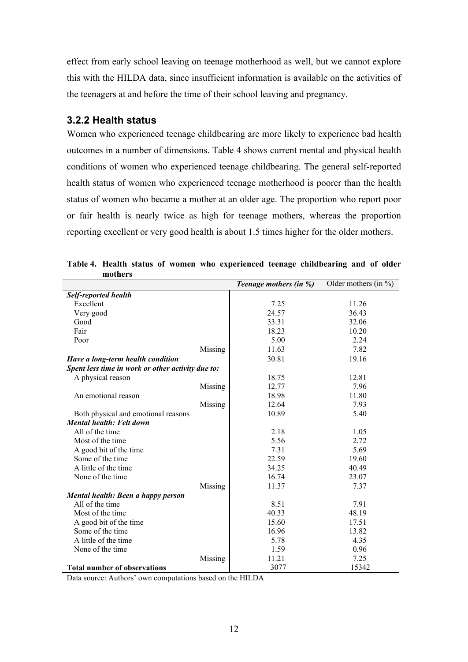effect from early school leaving on teenage motherhood as well, but we cannot explore this with the HILDA data, since insufficient information is available on the activities of the teenagers at and before the time of their school leaving and pregnancy.

## **3.2.2 Health status**

Women who experienced teenage childbearing are more likely to experience bad health outcomes in a number of dimensions. Table 4 shows current mental and physical health conditions of women who experienced teenage childbearing. The general self-reported health status of women who experienced teenage motherhood is poorer than the health status of women who became a mother at an older age. The proportion who report poor or fair health is nearly twice as high for teenage mothers, whereas the proportion reporting excellent or very good health is about 1.5 times higher for the older mothers.

|                                                   |         | Teenage mothers (in %) | Older mothers (in $\%$ ) |
|---------------------------------------------------|---------|------------------------|--------------------------|
| <b>Self-reported health</b>                       |         |                        |                          |
| Excellent                                         |         | 7.25                   | 11.26                    |
| Very good                                         |         | 24.57                  | 36.43                    |
| Good                                              |         | 33.31                  | 32.06                    |
| Fair                                              |         | 18.23                  | 10.20                    |
| Poor                                              |         | 5.00                   | 2.24                     |
|                                                   | Missing | 11.63                  | 7.82                     |
| Have a long-term health condition                 |         | 30.81                  | 19.16                    |
| Spent less time in work or other activity due to: |         |                        |                          |
| A physical reason                                 |         | 18.75                  | 12.81                    |
|                                                   | Missing | 12.77                  | 7.96                     |
| An emotional reason                               |         | 18.98                  | 11.80                    |
|                                                   | Missing | 12.64                  | 7.93                     |
| Both physical and emotional reasons               |         | 10.89                  | 5.40                     |
| <b>Mental health: Felt down</b>                   |         |                        |                          |
| All of the time                                   |         | 2.18                   | 1.05                     |
| Most of the time                                  |         | 5.56                   | 2.72                     |
| A good bit of the time                            |         | 7.31                   | 5.69                     |
| Some of the time                                  |         | 22.59                  | 19.60                    |
| A little of the time                              |         | 34.25                  | 40.49                    |
| None of the time                                  |         | 16.74                  | 23.07                    |
|                                                   | Missing | 11.37                  | 7.37                     |
| Mental health: Been a happy person                |         |                        |                          |
| All of the time                                   |         | 8.51                   | 7.91                     |
| Most of the time                                  |         | 40.33                  | 48.19                    |
| A good bit of the time                            |         | 15.60                  | 17.51                    |
| Some of the time                                  |         | 16.96                  | 13.82                    |
| A little of the time                              |         | 5.78                   | 4.35                     |
| None of the time                                  |         | 1.59                   | 0.96                     |
|                                                   | Missing | 11.21                  | 7.25                     |
| <b>Total number of observations</b>               |         | 3077                   | 15342                    |

**Table 4. Health status of women who experienced teenage childbearing and of older mothers**

Data source: Authors' own computations based on the HILDA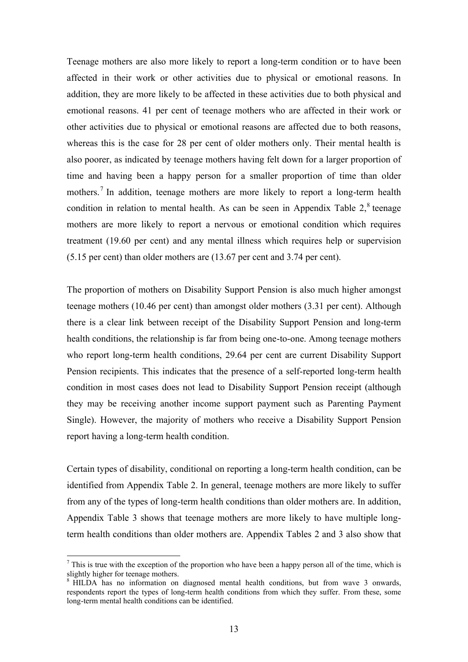Teenage mothers are also more likely to report a long-term condition or to have been affected in their work or other activities due to physical or emotional reasons. In addition, they are more likely to be affected in these activities due to both physical and emotional reasons. 41 per cent of teenage mothers who are affected in their work or other activities due to physical or emotional reasons are affected due to both reasons, whereas this is the case for 28 per cent of older mothers only. Their mental health is also poorer, as indicated by teenage mothers having felt down for a larger proportion of time and having been a happy person for a smaller proportion of time than older mothers.<sup>7</sup> In addition, teenage mothers are more likely to report a long-term health condition in relation to mental health. As can be seen in Appendix Table  $2<sup>8</sup>$  teenage mothers are more likely to report a nervous or emotional condition which requires treatment (19.60 per cent) and any mental illness which requires help or supervision (5.15 per cent) than older mothers are (13.67 per cent and 3.74 per cent).

The proportion of mothers on Disability Support Pension is also much higher amongst teenage mothers (10.46 per cent) than amongst older mothers (3.31 per cent). Although there is a clear link between receipt of the Disability Support Pension and long-term health conditions, the relationship is far from being one-to-one. Among teenage mothers who report long-term health conditions, 29.64 per cent are current Disability Support Pension recipients. This indicates that the presence of a self-reported long-term health condition in most cases does not lead to Disability Support Pension receipt (although they may be receiving another income support payment such as Parenting Payment Single). However, the majority of mothers who receive a Disability Support Pension report having a long-term health condition.

Certain types of disability, conditional on reporting a long-term health condition, can be identified from Appendix Table 2. In general, teenage mothers are more likely to suffer from any of the types of long-term health conditions than older mothers are. In addition, Appendix Table 3 shows that teenage mothers are more likely to have multiple longterm health conditions than older mothers are. Appendix Tables 2 and 3 also show that

 $\overline{a}$ 

<sup>&</sup>lt;sup>7</sup> This is true with the exception of the proportion who have been a happy person all of the time, which is slightly higher for teenage mothers.

<sup>&</sup>lt;sup>8</sup> HILDA has no information on diagnosed mental health conditions, but from wave 3 onwards, respondents report the types of long-term health conditions from which they suffer. From these, some long-term mental health conditions can be identified.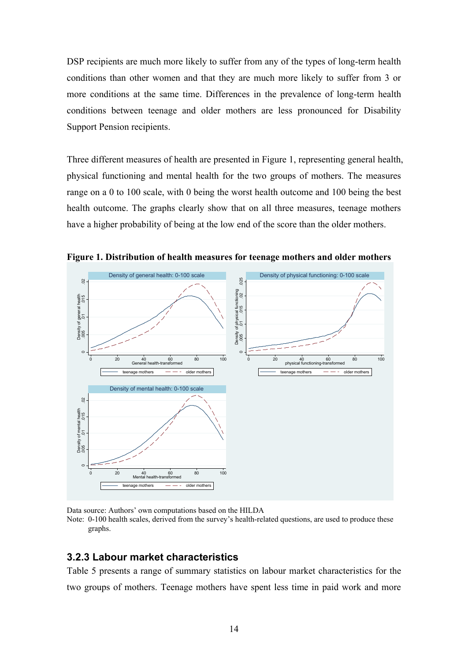DSP recipients are much more likely to suffer from any of the types of long-term health conditions than other women and that they are much more likely to suffer from 3 or more conditions at the same time. Differences in the prevalence of long-term health conditions between teenage and older mothers are less pronounced for Disability Support Pension recipients.

Three different measures of health are presented in Figure 1, representing general health, physical functioning and mental health for the two groups of mothers. The measures range on a 0 to 100 scale, with 0 being the worst health outcome and 100 being the best health outcome. The graphs clearly show that on all three measures, teenage mothers have a higher probability of being at the low end of the score than the older mothers.



**Figure 1. Distribution of health measures for teenage mothers and older mothers**

Data source: Authors' own computations based on the HILDA

Note: 0-100 health scales, derived from the survey's health-related questions, are used to produce these graphs.

### **3.2.3 Labour market characteristics**

Table 5 presents a range of summary statistics on labour market characteristics for the two groups of mothers. Teenage mothers have spent less time in paid work and more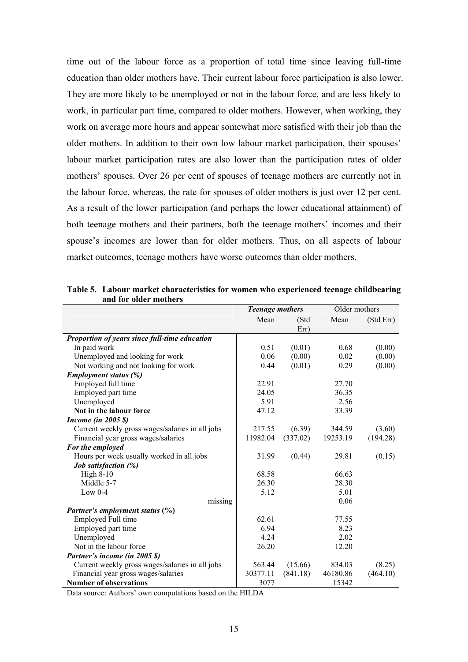time out of the labour force as a proportion of total time since leaving full-time education than older mothers have. Their current labour force participation is also lower. They are more likely to be unemployed or not in the labour force, and are less likely to work, in particular part time, compared to older mothers. However, when working, they work on average more hours and appear somewhat more satisfied with their job than the older mothers. In addition to their own low labour market participation, their spouses' labour market participation rates are also lower than the participation rates of older mothers' spouses. Over 26 per cent of spouses of teenage mothers are currently not in the labour force, whereas, the rate for spouses of older mothers is just over 12 per cent. As a result of the lower participation (and perhaps the lower educational attainment) of both teenage mothers and their partners, both the teenage mothers' incomes and their spouse's incomes are lower than for older mothers. Thus, on all aspects of labour market outcomes, teenage mothers have worse outcomes than older mothers.

|                                                 | <b>Teenage mothers</b> |          | Older mothers |           |
|-------------------------------------------------|------------------------|----------|---------------|-----------|
|                                                 | Mean                   | (Std     | Mean          | (Std Err) |
|                                                 |                        | Err)     |               |           |
| Proportion of years since full-time education   |                        |          |               |           |
| In paid work                                    | 0.51                   | (0.01)   | 0.68          | (0.00)    |
| Unemployed and looking for work                 | 0.06                   | (0.00)   | 0.02          | (0.00)    |
| Not working and not looking for work            | 0.44                   | (0.01)   | 0.29          | (0.00)    |
| <b>Employment status (%)</b>                    |                        |          |               |           |
| Employed full time                              | 22.91                  |          | 27.70         |           |
| Employed part time                              | 24.05                  |          | 36.35         |           |
| Unemployed                                      | 5.91                   |          | 2.56          |           |
| Not in the labour force                         | 47.12                  |          | 33.39         |           |
| <b>Income (in 2005 \$)</b>                      |                        |          |               |           |
| Current weekly gross wages/salaries in all jobs | 217.55                 | (6.39)   | 344.59        | (3.60)    |
| Financial year gross wages/salaries             | 11982.04               | (337.02) | 19253.19      | (194.28)  |
| For the employed                                |                        |          |               |           |
| Hours per week usually worked in all jobs       | 31.99                  | (0.44)   | 29.81         | (0.15)    |
| Job satisfaction (%)                            |                        |          |               |           |
| High $8-10$                                     | 68.58                  |          | 66.63         |           |
| Middle 5-7                                      | 26.30                  |          | 28.30         |           |
| Low $0-4$                                       | 5.12                   |          | 5.01          |           |
| missing                                         |                        |          | 0.06          |           |
| Partner's employment status (%)                 |                        |          |               |           |
| Employed Full time                              | 62.61                  |          | 77.55         |           |
| Employed part time                              | 6.94                   |          | 8.23          |           |
| Unemployed                                      | 4.24                   |          | 2.02          |           |
| Not in the labour force                         | 26.20                  |          | 12.20         |           |
| Partner's income (in 2005 \$)                   |                        |          |               |           |
| Current weekly gross wages/salaries in all jobs | 563.44                 | (15.66)  | 834.03        | (8.25)    |
| Financial year gross wages/salaries             | 30377.11               | (841.18) | 46180.86      | (464.10)  |
| <b>Number of observations</b>                   | 3077                   |          | 15342         |           |

**Table 5. Labour market characteristics for women who experienced teenage childbearing and for older mothers**

Data source: Authors' own computations based on the HILDA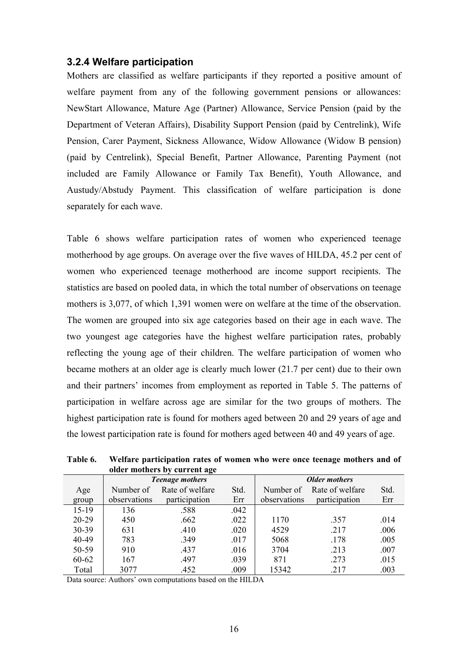### **3.2.4 Welfare participation**

Mothers are classified as welfare participants if they reported a positive amount of welfare payment from any of the following government pensions or allowances: NewStart Allowance, Mature Age (Partner) Allowance, Service Pension (paid by the Department of Veteran Affairs), Disability Support Pension (paid by Centrelink), Wife Pension, Carer Payment, Sickness Allowance, Widow Allowance (Widow B pension) (paid by Centrelink), Special Benefit, Partner Allowance, Parenting Payment (not included are Family Allowance or Family Tax Benefit), Youth Allowance, and Austudy/Abstudy Payment. This classification of welfare participation is done separately for each wave.

Table 6 shows welfare participation rates of women who experienced teenage motherhood by age groups. On average over the five waves of HILDA, 45.2 per cent of women who experienced teenage motherhood are income support recipients. The statistics are based on pooled data, in which the total number of observations on teenage mothers is 3,077, of which 1,391 women were on welfare at the time of the observation. The women are grouped into six age categories based on their age in each wave. The two youngest age categories have the highest welfare participation rates, probably reflecting the young age of their children. The welfare participation of women who became mothers at an older age is clearly much lower (21.7 per cent) due to their own and their partners' incomes from employment as reported in Table 5. The patterns of participation in welfare across age are similar for the two groups of mothers. The highest participation rate is found for mothers aged between 20 and 29 years of age and the lowest participation rate is found for mothers aged between 40 and 49 years of age.

| $\frac{1}{2}$ |              |                        |                      |              |                 |      |
|---------------|--------------|------------------------|----------------------|--------------|-----------------|------|
|               |              | <b>Teenage mothers</b> | <b>Older mothers</b> |              |                 |      |
| Age           | Number of    | Rate of welfare        | Std.                 | Number of    | Rate of welfare | Std. |
| group         | observations | participation          | Err                  | observations | participation   | Err  |
| $15-19$       | 136          | .588                   | .042                 |              |                 |      |
| $20 - 29$     | 450          | .662                   | .022                 | 1170         | .357            | .014 |
| 30-39         | 631          | .410                   | .020                 | 4529         | .217            | .006 |
| 40-49         | 783          | .349                   | .017                 | 5068         | .178            | .005 |
| 50-59         | 910          | .437                   | .016                 | 3704         | .213            | .007 |
| 60-62         | 167          | .497                   | .039                 | 871          | .273            | .015 |
| Total         | 3077         | .452                   | .009                 | 15342        | .217            | .003 |

**Table 6. Welfare participation rates of women who were once teenage mothers and of older mothers by current age**

Data source: Authors' own computations based on the HILDA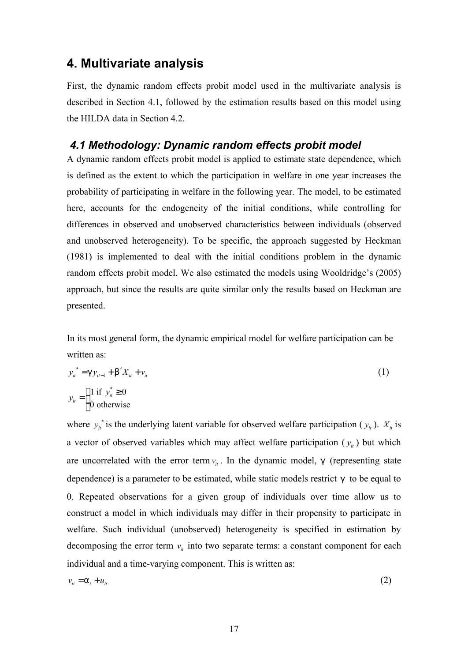# **4. Multivariate analysis**

0 otherwise

 $\mathsf{L}$ 

First, the dynamic random effects probit model used in the multivariate analysis is described in Section 4.1, followed by the estimation results based on this model using the HILDA data in Section 4.2.

# *4.1 Methodology: Dynamic random effects probit model*

A dynamic random effects probit model is applied to estimate state dependence, which is defined as the extent to which the participation in welfare in one year increases the probability of participating in welfare in the following year. The model, to be estimated here, accounts for the endogeneity of the initial conditions, while controlling for differences in observed and unobserved characteristics between individuals (observed and unobserved heterogeneity). To be specific, the approach suggested by Heckman (1981) is implemented to deal with the initial conditions problem in the dynamic random effects probit model. We also estimated the models using Wooldridge's (2005) approach, but since the results are quite similar only the results based on Heckman are presented.

In its most general form, the dynamic empirical model for welfare participation can be written as:

$$
y_{u}^{*} = g y_{u-1} + b' X_{u} + v_{u}
$$
  
\n
$$
y_{u} = \begin{cases} 1 \text{ if } y_{u}^{*} \ge 0 \\ 0 & \text{otherwise} \end{cases}
$$
 (1)

where 
$$
y_u^*
$$
 is the underlying latent variable for observed welfare participation  $(y_u)$ .  $X_u$  is  
a vector of observed variables which may affect welfare participation  $(y_u)$  but which  
are uncorrelated with the error term  $v_u$ . In the dynamic model, g (representing state  
dependence) is a parameter to be estimated, while static models restrict g to be equal to  
0. Repeated observations for a given group of individuals over time allow us to  
construct a model in which individuals may differ in their propensity to participate in  
welfare. Such individual (unobserved) heterogeneity is specified in estimation by  
decomposing the error term  $v_u$  into two separate terms: a constant component for each  
individual and a time-varying component. This is written as:

$$
v_{ii} = a_i + u_{ii} \tag{2}
$$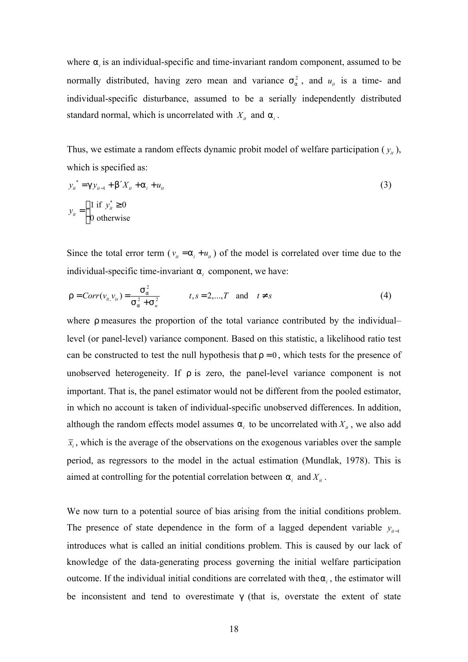where  $a_i$  is an individual-specific and time-invariant random component, assumed to be normally distributed, having zero mean and variance  $s_a^2$ , and  $u_u$  is a time- and individual-specific disturbance, assumed to be a serially independently distributed standard normal, which is uncorrelated with  $X_i$  and  $a_i$ .

Thus, we estimate a random effects dynamic probit model of welfare participation  $(y_i)$ , which is specified as:

$$
y_{ii}^* = g y_{ii-1} + b' X_{ii} + a_i + u_{ii}
$$
  
\n
$$
y_{ii} =\begin{cases} 1 \text{ if } y_{ii}^* \ge 0 \\ 0 \text{ otherwise} \end{cases}
$$
\n(3)

Since the total error term ( $v_{it} = a_i + u_{it}$ ) of the model is correlated over time due to the individual-specific time-invariant *a<sup>i</sup>* component, we have:

$$
r = Corr(v_{u,}v_{s}) = \frac{S_{a}^{2}}{S_{a}^{2} + S_{u}^{2}}
$$
  $t, s = 2,...,T \text{ and } t \neq s$  (4)

where *r* measures the proportion of the total variance contributed by the individual– level (or panel-level) variance component. Based on this statistic, a likelihood ratio test can be constructed to test the null hypothesis that  $r = 0$ , which tests for the presence of unobserved heterogeneity. If *r* is zero, the panel-level variance component is not important. That is, the panel estimator would not be different from the pooled estimator, in which no account is taken of individual-specific unobserved differences. In addition, although the random effects model assumes  $a_i$  to be uncorrelated with  $X_i$ , we also add  $\overline{x}_i$ , which is the average of the observations on the exogenous variables over the sample period, as regressors to the model in the actual estimation (Mundlak, 1978). This is aimed at controlling for the potential correlation between  $a_i$  and  $X_i$ .

We now turn to a potential source of bias arising from the initial conditions problem. The presence of state dependence in the form of a lagged dependent variable  $y_{ii-1}$ introduces what is called an initial conditions problem. This is caused by our lack of knowledge of the data-generating process governing the initial welfare participation outcome. If the individual initial conditions are correlated with the*a<sup>i</sup>* , the estimator will be inconsistent and tend to overestimate *g* (that is, overstate the extent of state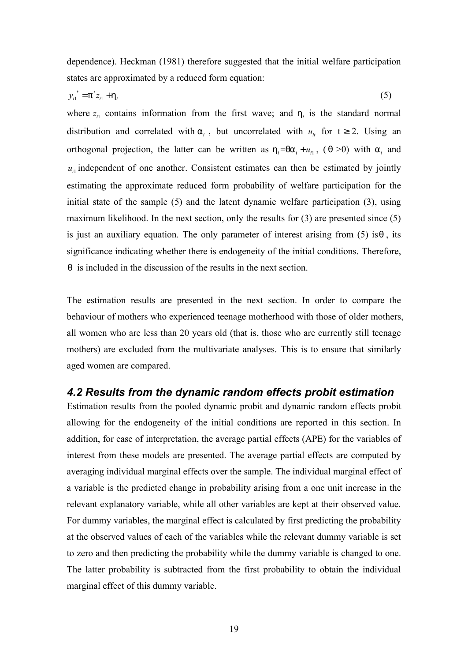dependence). Heckman (1981) therefore suggested that the initial welfare participation states are approximated by a reduced form equation:

$$
y_{i1}^* = p'z_{i1} + h_i \tag{5}
$$

where  $z_i$  contains information from the first wave; and  $h_i$  is the standard normal distribution and correlated with  $a_i$ , but uncorrelated with  $u_i$  for  $t \ge 2$ . Using an orthogonal projection, the latter can be written as  $h_i = qa_i + u_{i1}$ , (q >0) with  $a_i$  and  $u_{i}$  independent of one another. Consistent estimates can then be estimated by jointly estimating the approximate reduced form probability of welfare participation for the initial state of the sample (5) and the latent dynamic welfare participation (3), using maximum likelihood. In the next section, only the results for (3) are presented since (5) is just an auxiliary equation. The only parameter of interest arising from (5) is*q* , its significance indicating whether there is endogeneity of the initial conditions. Therefore, *q* is included in the discussion of the results in the next section.

The estimation results are presented in the next section. In order to compare the behaviour of mothers who experienced teenage motherhood with those of older mothers, all women who are less than 20 years old (that is, those who are currently still teenage mothers) are excluded from the multivariate analyses. This is to ensure that similarly aged women are compared.

### *4.2 Results from the dynamic random effects probit estimation*

Estimation results from the pooled dynamic probit and dynamic random effects probit allowing for the endogeneity of the initial conditions are reported in this section. In addition, for ease of interpretation, the average partial effects (APE) for the variables of interest from these models are presented. The average partial effects are computed by averaging individual marginal effects over the sample. The individual marginal effect of a variable is the predicted change in probability arising from a one unit increase in the relevant explanatory variable, while all other variables are kept at their observed value. For dummy variables, the marginal effect is calculated by first predicting the probability at the observed values of each of the variables while the relevant dummy variable is set to zero and then predicting the probability while the dummy variable is changed to one. The latter probability is subtracted from the first probability to obtain the individual marginal effect of this dummy variable.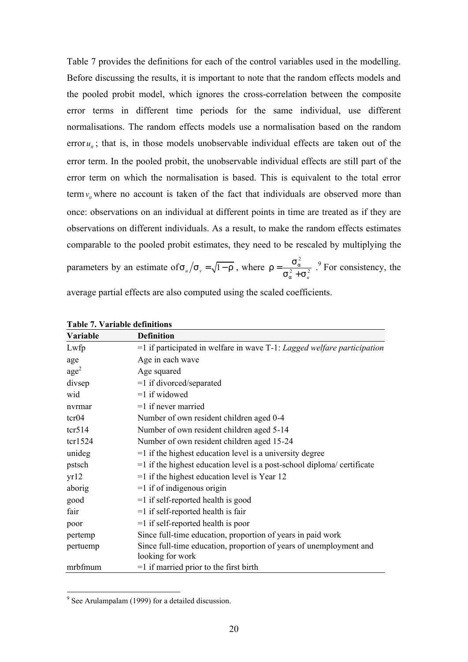Table 7 provides the definitions for each of the control variables used in the modelling. Before discussing the results, it is important to note that the random effects models and the pooled probit model, which ignores the cross-correlation between the composite error terms in different time periods for the same individual, use different normalisations. The random effects models use a normalisation based on the random error  $u_{ii}$ ; that is, in those models unobservable individual effects are taken out of the error term. In the pooled probit, the unobservable individual effects are still part of the error term on which the normalisation is based. This is equivalent to the total error term  $v_i$  where no account is taken of the fact that individuals are observed more than once: observations on an individual at different points in time are treated as if they are observations on different individuals. As a result, to make the random effects estimates comparable to the pooled probit estimates, they need to be rescaled by multiplying the parameters by an estimate of  $s_u/s_v = \sqrt{1-r}$ , where  $r = \frac{s_a^2}{s_u^2}$  $^{2}_{a}$  + S  $^{2}_{u}$ *a a*  $r = \frac{S}{\sqrt{2}}$  $S_a^2 + S$ = + . 9 For consistency, the average partial effects are also computed using the scaled coefficients.

| Variable        | <b>Definition</b>                                                                      |
|-----------------|----------------------------------------------------------------------------------------|
| Lwfp            | $=$ 1 if participated in welfare in wave T-1: Lagged welfare participation             |
| age             | Age in each wave                                                                       |
| $\text{age}^2$  | Age squared                                                                            |
| divsep          | $=1$ if divorced/separated                                                             |
| wid             | $=1$ if widowed                                                                        |
| nvrmar          | $=1$ if never married                                                                  |
| tcr04           | Number of own resident children aged 0-4                                               |
| $\text{tcr}514$ | Number of own resident children aged 5-14                                              |
| tcr1524         | Number of own resident children aged 15-24                                             |
| unideg          | $=$ 1 if the highest education level is a university degree                            |
| pstsch          | $=$ 1 if the highest education level is a post-school diploma/ certificate             |
| yr12            | $=$ 1 if the highest education level is Year 12                                        |
| aborig          | $=1$ if of indigenous origin                                                           |
| good            | $=1$ if self-reported health is good                                                   |
| fair            | $=1$ if self-reported health is fair                                                   |
| poor            | $=1$ if self-reported health is poor                                                   |
| pertemp         | Since full-time education, proportion of years in paid work                            |
| pertuemp        | Since full-time education, proportion of years of unemployment and<br>looking for work |
| mrbfmum         | $=1$ if married prior to the first birth                                               |

 9 See Arulampalam (1999) for a detailed discussion.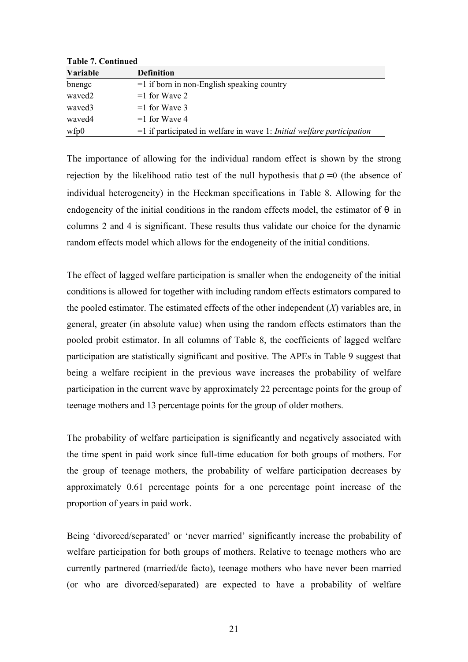| Table 7. Continueu           |                                                                                  |
|------------------------------|----------------------------------------------------------------------------------|
| <b>Variable</b>              | <b>Definition</b>                                                                |
| bnengc                       | $=$ 1 if born in non-English speaking country                                    |
| waved <sub>2</sub>           | $=1$ for Wave 2                                                                  |
| waved3                       | $=1$ for Wave 3                                                                  |
| waved4                       | $=1$ for Wave 4                                                                  |
| $\mathbf{w}$ fp $\mathbf{0}$ | $=$ 1 if participated in welfare in wave 1: <i>Initial welfare participation</i> |

**Table 7. Continued**

The importance of allowing for the individual random effect is shown by the strong rejection by the likelihood ratio test of the null hypothesis that  $r = 0$  (the absence of individual heterogeneity) in the Heckman specifications in Table 8. Allowing for the endogeneity of the initial conditions in the random effects model, the estimator of *q* in columns 2 and 4 is significant. These results thus validate our choice for the dynamic random effects model which allows for the endogeneity of the initial conditions.

The effect of lagged welfare participation is smaller when the endogeneity of the initial conditions is allowed for together with including random effects estimators compared to the pooled estimator. The estimated effects of the other independent (*X*) variables are, in general, greater (in absolute value) when using the random effects estimators than the pooled probit estimator. In all columns of Table 8, the coefficients of lagged welfare participation are statistically significant and positive. The APEs in Table 9 suggest that being a welfare recipient in the previous wave increases the probability of welfare participation in the current wave by approximately 22 percentage points for the group of teenage mothers and 13 percentage points for the group of older mothers.

The probability of welfare participation is significantly and negatively associated with the time spent in paid work since full-time education for both groups of mothers. For the group of teenage mothers, the probability of welfare participation decreases by approximately 0.61 percentage points for a one percentage point increase of the proportion of years in paid work.

Being 'divorced/separated' or 'never married' significantly increase the probability of welfare participation for both groups of mothers. Relative to teenage mothers who are currently partnered (married/de facto), teenage mothers who have never been married (or who are divorced/separated) are expected to have a probability of welfare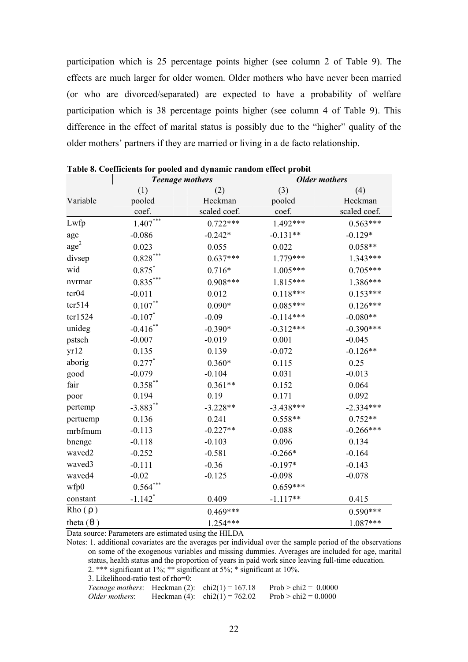participation which is 25 percentage points higher (see column 2 of Table 9). The effects are much larger for older women. Older mothers who have never been married (or who are divorced/separated) are expected to have a probability of welfare participation which is 38 percentage points higher (see column 4 of Table 9). This difference in the effect of marital status is possibly due to the "higher" quality of the older mothers' partners if they are married or living in a de facto relationship.

|                    | <b>Teenage mothers</b> |              | <b>Older mothers</b> |              |  |
|--------------------|------------------------|--------------|----------------------|--------------|--|
|                    | (1)                    | (2)          | (3)                  | (4)          |  |
| Variable           | pooled                 | Heckman      | pooled               | Heckman      |  |
|                    | coef.                  | scaled coef. | coef.                | scaled coef. |  |
| Lwfp               | $1.407***$             | $0.722***$   | 1.492***             | $0.563***$   |  |
| age                | $-0.086$               | $-0.242*$    | $-0.131**$           | $-0.129*$    |  |
| $\text{age}^2$     | 0.023                  | 0.055        | 0.022                | $0.058**$    |  |
| divsep             | $0.828***$             | $0.637***$   | $1.779***$           | $1.343***$   |  |
| wid                | $0.875*$               | $0.716*$     | $1.005***$           | $0.705***$   |  |
| nvrmar             | $0.835***$             | $0.908***$   | $1.815***$           | 1.386***     |  |
| tcr04              | $-0.011$               | 0.012        | $0.118***$           | $0.153***$   |  |
| $\text{tcr}514$    | $0.107***$             | $0.090*$     | $0.085***$           | $0.126***$   |  |
| tcr1524            | $-0.107*$              | $-0.09$      | $-0.114***$          | $-0.080**$   |  |
| unideg             | $-0.416$ **            | $-0.390*$    | $-0.312***$          | $-0.390***$  |  |
| pstsch             | $-0.007$               | $-0.019$     | 0.001                | $-0.045$     |  |
| yr12               | 0.135                  | 0.139        | $-0.072$             | $-0.126**$   |  |
| aborig             | $0.277*$               | $0.360*$     | 0.115                | 0.25         |  |
| good               | $-0.079$               | $-0.104$     | 0.031                | $-0.013$     |  |
| fair               | $0.358***$             | $0.361**$    | 0.152                | 0.064        |  |
| poor               | 0.194                  | 0.19         | 0.171                | 0.092        |  |
| pertemp            | $-3.883**$             | $-3.228**$   | $-3.438***$          | $-2.334***$  |  |
| pertuemp           | 0.136                  | 0.241        | $0.558**$            | $0.752**$    |  |
| mrbfmum            | $-0.113$               | $-0.227**$   | $-0.088$             | $-0.266***$  |  |
| bnengc             | $-0.118$               | $-0.103$     | 0.096                | 0.134        |  |
| waved <sub>2</sub> | $-0.252$               | $-0.581$     | $-0.266*$            | $-0.164$     |  |
| waved3             | $-0.111$               | $-0.36$      | $-0.197*$            | $-0.143$     |  |
| waved4             | $-0.02$                | $-0.125$     | $-0.098$             | $-0.078$     |  |
| wfp0               | $0.564***$             |              | $0.659***$           |              |  |
| constant           | $-1.142$ <sup>*</sup>  | 0.409        | $-1.117**$           | 0.415        |  |
| Rho(r)             |                        | $0.469***$   |                      | $0.590***$   |  |
| theta $(q)$        |                        | 1.254***     |                      | 1.087***     |  |

**Table 8. Coefficients for pooled and dynamic random effect probit** 

Data source: Parameters are estimated using the HILDA

Notes: 1. additional covariates are the averages per individual over the sample period of the observations on some of the exogenous variables and missing dummies. Averages are included for age, marital status, health status and the proportion of years in paid work since leaving full-time education.

2. \*\*\* significant at 1%; \*\* significant at 5%; \* significant at 10%.

3. Likelihood-ratio test of rho=0:

*Teenage mothers*: Heckman (2):  $\text{chi}(1) = 167.18$  Prob >  $\text{chi}(2) = 0.0000$ *Older mothers*: Heckman (4):  $\text{chi}(1) = 762.02$  Prob > chi2 = 0.0000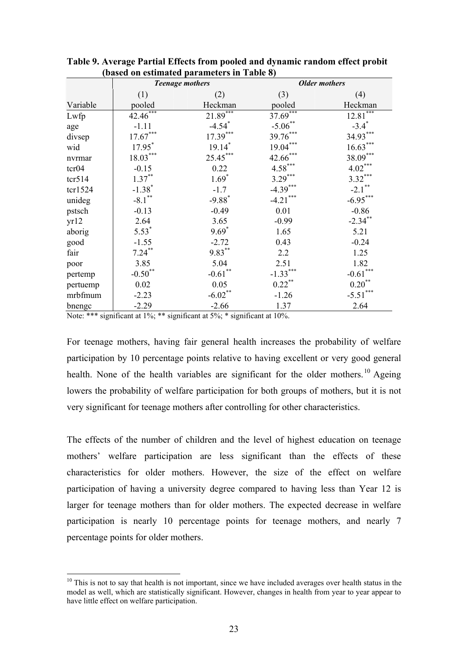|                 |                        | <b>Teenage mothers</b> | <b>Older mothers</b> |                      |  |
|-----------------|------------------------|------------------------|----------------------|----------------------|--|
|                 | (1)                    | (2)                    | (3)                  | (4)                  |  |
| Variable        | pooled                 | Heckman                | pooled               | Heckman              |  |
| Lwfp            | 42.46***               | $21.89***$             | $37.69***$           | $12.81***$           |  |
| age             | $-1.11$                | $-4.54$ <sup>*</sup>   | $-5.06$ **           | $-3.4$ <sup>*</sup>  |  |
| divsep          | $17.67^{\ast\ast\ast}$ | $17.39***$             | $39.76***$           | $34.93***$           |  |
| wid             | $17.95*$               | $19.14*$               | $19.04***$           | $16.63***$           |  |
| nvrmar          | $18.03***$             | $25.45***$             | $42.66***$           | $38.09***$           |  |
| $\text{tcr}04$  | $-0.15$                | 0.22                   | $4.58***$            | $4.02***$            |  |
| $\text{tcr}514$ | $1.37***$              | $1.69*$                | $3.29***$            | $3.32***$            |  |
| ter1524         | $-1.38*$               | $-1.7$                 | $-4.39***$           | $-2.1$ <sup>**</sup> |  |
| unideg          | $-8.1***$              | $-9.88*$               | $-4.21***$           | $-6.95***$           |  |
| pstsch          | $-0.13$                | $-0.49$                | 0.01                 | $-0.86$              |  |
| yr12            | 2.64                   | 3.65                   | $-0.99$              | $-2.34$ **           |  |
| aborig          | $5.53*$                | $9.69*$                | 1.65                 | 5.21                 |  |
| good            | $-1.55$                | $-2.72$                | 0.43                 | $-0.24$              |  |
| fair            | $7.24***$              | $9.83***$              | 2.2                  | 1.25                 |  |
| poor            | 3.85                   | 5.04                   | 2.51                 | 1.82                 |  |
| pertemp         | $-0.50$ <sup>**</sup>  | $-0.61$ **             | $-1.33***$           | $-0.61***$           |  |
| pertuemp        | 0.02                   | 0.05                   | $0.22***$            | $0.20***$            |  |
| mrbfmum         | $-2.23$                | $-6.02$ **             | $-1.26$              | $-5.51***$           |  |
| bnengc          | $-2.29$                | $-2.66$                | 1.37                 | 2.64                 |  |

**Table 9. Average Partial Effects from pooled and dynamic random effect probit (based on estimated parameters in Table 8)**

Note: \*\*\* significant at 1%; \*\* significant at 5%; \* significant at 10%.

 $\overline{a}$ 

For teenage mothers, having fair general health increases the probability of welfare participation by 10 percentage points relative to having excellent or very good general health. None of the health variables are significant for the older mothers.<sup>10</sup> Ageing lowers the probability of welfare participation for both groups of mothers, but it is not very significant for teenage mothers after controlling for other characteristics.

The effects of the number of children and the level of highest education on teenage mothers' welfare participation are less significant than the effects of these characteristics for older mothers. However, the size of the effect on welfare participation of having a university degree compared to having less than Year 12 is larger for teenage mothers than for older mothers. The expected decrease in welfare participation is nearly 10 percentage points for teenage mothers, and nearly 7 percentage points for older mothers.

 $10$  This is not to say that health is not important, since we have included averages over health status in the model as well, which are statistically significant. However, changes in health from year to year appear to have little effect on welfare participation.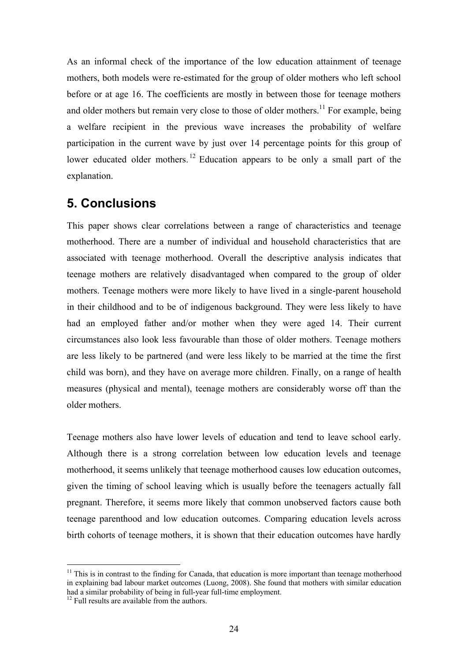As an informal check of the importance of the low education attainment of teenage mothers, both models were re-estimated for the group of older mothers who left school before or at age 16. The coefficients are mostly in between those for teenage mothers and older mothers but remain very close to those of older mothers.<sup>11</sup> For example, being a welfare recipient in the previous wave increases the probability of welfare participation in the current wave by just over 14 percentage points for this group of lower educated older mothers. <sup>12</sup> Education appears to be only a small part of the explanation.

# **5. Conclusions**

This paper shows clear correlations between a range of characteristics and teenage motherhood. There are a number of individual and household characteristics that are associated with teenage motherhood. Overall the descriptive analysis indicates that teenage mothers are relatively disadvantaged when compared to the group of older mothers. Teenage mothers were more likely to have lived in a single-parent household in their childhood and to be of indigenous background. They were less likely to have had an employed father and/or mother when they were aged 14. Their current circumstances also look less favourable than those of older mothers. Teenage mothers are less likely to be partnered (and were less likely to be married at the time the first child was born), and they have on average more children. Finally, on a range of health measures (physical and mental), teenage mothers are considerably worse off than the older mothers.

Teenage mothers also have lower levels of education and tend to leave school early. Although there is a strong correlation between low education levels and teenage motherhood, it seems unlikely that teenage motherhood causes low education outcomes, given the timing of school leaving which is usually before the teenagers actually fall pregnant. Therefore, it seems more likely that common unobserved factors cause both teenage parenthood and low education outcomes. Comparing education levels across birth cohorts of teenage mothers, it is shown that their education outcomes have hardly

 $\overline{a}$ 

 $11$  This is in contrast to the finding for Canada, that education is more important than teenage motherhood in explaining bad labour market outcomes (Luong, 2008). She found that mothers with similar education had a similar probability of being in full-year full-time employment.

 $12$  Full results are available from the authors.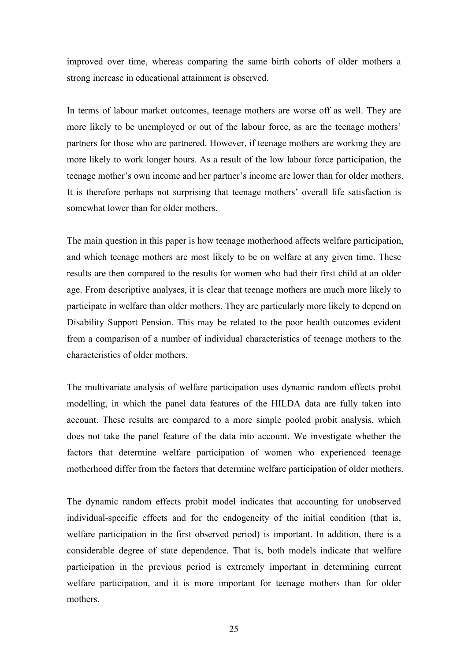improved over time, whereas comparing the same birth cohorts of older mothers a strong increase in educational attainment is observed.

In terms of labour market outcomes, teenage mothers are worse off as well. They are more likely to be unemployed or out of the labour force, as are the teenage mothers' partners for those who are partnered. However, if teenage mothers are working they are more likely to work longer hours. As a result of the low labour force participation, the teenage mother's own income and her partner's income are lower than for older mothers. It is therefore perhaps not surprising that teenage mothers' overall life satisfaction is somewhat lower than for older mothers.

The main question in this paper is how teenage motherhood affects welfare participation, and which teenage mothers are most likely to be on welfare at any given time. These results are then compared to the results for women who had their first child at an older age. From descriptive analyses, it is clear that teenage mothers are much more likely to participate in welfare than older mothers. They are particularly more likely to depend on Disability Support Pension. This may be related to the poor health outcomes evident from a comparison of a number of individual characteristics of teenage mothers to the characteristics of older mothers.

The multivariate analysis of welfare participation uses dynamic random effects probit modelling, in which the panel data features of the HILDA data are fully taken into account. These results are compared to a more simple pooled probit analysis, which does not take the panel feature of the data into account. We investigate whether the factors that determine welfare participation of women who experienced teenage motherhood differ from the factors that determine welfare participation of older mothers.

The dynamic random effects probit model indicates that accounting for unobserved individual-specific effects and for the endogeneity of the initial condition (that is, welfare participation in the first observed period) is important. In addition, there is a considerable degree of state dependence. That is, both models indicate that welfare participation in the previous period is extremely important in determining current welfare participation, and it is more important for teenage mothers than for older mothers.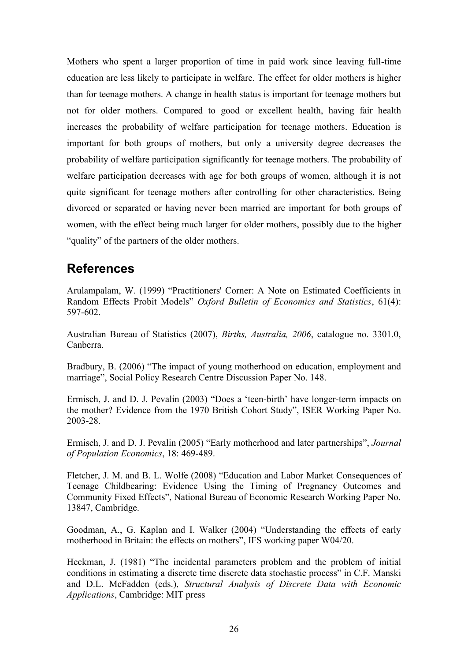Mothers who spent a larger proportion of time in paid work since leaving full-time education are less likely to participate in welfare. The effect for older mothers is higher than for teenage mothers. A change in health status is important for teenage mothers but not for older mothers. Compared to good or excellent health, having fair health increases the probability of welfare participation for teenage mothers. Education is important for both groups of mothers, but only a university degree decreases the probability of welfare participation significantly for teenage mothers. The probability of welfare participation decreases with age for both groups of women, although it is not quite significant for teenage mothers after controlling for other characteristics. Being divorced or separated or having never been married are important for both groups of women, with the effect being much larger for older mothers, possibly due to the higher "quality" of the partners of the older mothers.

# **References**

Arulampalam, W. (1999) "Practitioners' Corner: A Note on Estimated Coefficients in Random Effects Probit Models" *Oxford Bulletin of Economics and Statistics*, 61(4): 597-602.

Australian Bureau of Statistics (2007), *Births, Australia, 2006*, catalogue no. 3301.0, Canberra.

Bradbury, B. (2006) "The impact of young motherhood on education, employment and marriage", Social Policy Research Centre Discussion Paper No. 148.

Ermisch, J. and D. J. Pevalin (2003) "Does a 'teen-birth' have longer-term impacts on the mother? Evidence from the 1970 British Cohort Study", ISER Working Paper No. 2003-28.

Ermisch, J. and D. J. Pevalin (2005) "Early motherhood and later partnerships", *Journal of Population Economics*, 18: 469-489.

Fletcher, J. M. and B. L. Wolfe (2008) "Education and Labor Market Consequences of Teenage Childbearing: Evidence Using the Timing of Pregnancy Outcomes and Community Fixed Effects", National Bureau of Economic Research Working Paper No. 13847, Cambridge.

Goodman, A., G. Kaplan and I. Walker (2004) "Understanding the effects of early motherhood in Britain: the effects on mothers", IFS working paper W04/20.

Heckman, J. (1981) "The incidental parameters problem and the problem of initial conditions in estimating a discrete time discrete data stochastic process" in C.F. Manski and D.L. McFadden (eds.), *Structural Analysis of Discrete Data with Economic Applications*, Cambridge: MIT press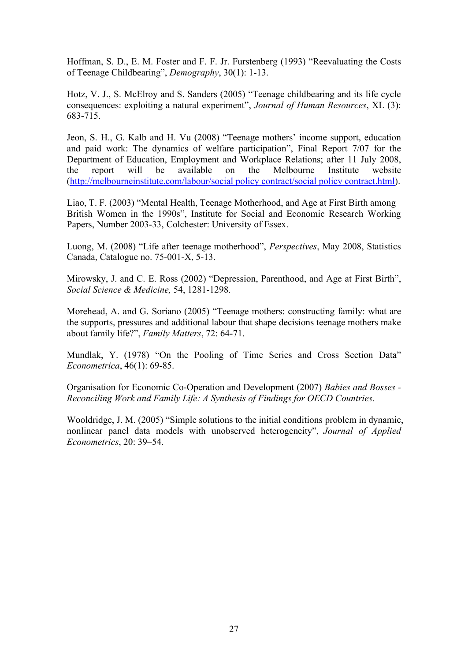Hoffman, S. D., E. M. Foster and F. F. Jr. Furstenberg (1993) "Reevaluating the Costs of Teenage Childbearing", *Demography*, 30(1): 1-13.

Hotz, V. J., S. McElroy and S. Sanders (2005) "Teenage childbearing and its life cycle consequences: exploiting a natural experiment", *Journal of Human Resources*, XL (3): 683-715.

Jeon, S. H., G. Kalb and H. Vu (2008) "Teenage mothers' income support, education and paid work: The dynamics of welfare participation", Final Report 7/07 for the Department of Education, Employment and Workplace Relations; after 11 July 2008, the report will be available on the Melbourne Institute website (http://melbourneinstitute.com/labour/social policy contract/social policy contract.html).

Liao, T. F. (2003) "Mental Health, Teenage Motherhood, and Age at First Birth among British Women in the 1990s", Institute for Social and Economic Research Working Papers, Number 2003-33, Colchester: University of Essex.

Luong, M. (2008) "Life after teenage motherhood", *Perspectives*, May 2008, Statistics Canada, Catalogue no. 75-001-X, 5-13.

Mirowsky, J. and C. E. Ross (2002) "Depression, Parenthood, and Age at First Birth", *Social Science & Medicine,* 54, 1281-1298.

Morehead, A. and G. Soriano (2005) "Teenage mothers: constructing family: what are the supports, pressures and additional labour that shape decisions teenage mothers make about family life?", *Family Matters*, 72: 64-71.

Mundlak, Y. (1978) "On the Pooling of Time Series and Cross Section Data" *Econometrica*, 46(1): 69-85.

Organisation for Economic Co-Operation and Development (2007) *Babies and Bosses - Reconciling Work and Family Life: A Synthesis of Findings for OECD Countries.*

Wooldridge, J. M. (2005) "Simple solutions to the initial conditions problem in dynamic, nonlinear panel data models with unobserved heterogeneity", *Journal of Applied Econometrics*, 20: 39–54.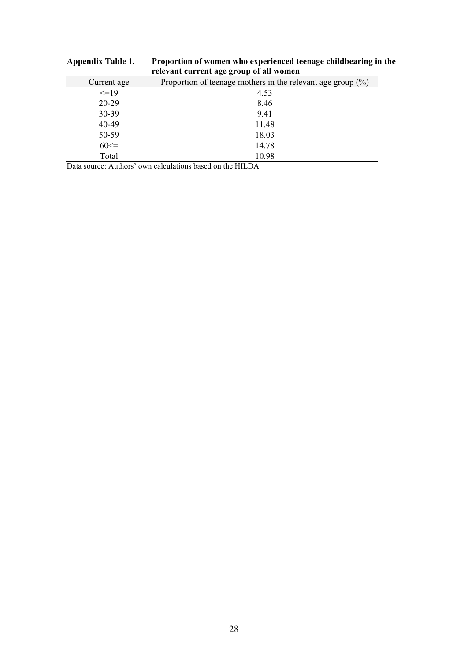| relevant current age group of all women |                                                                |  |  |  |  |
|-----------------------------------------|----------------------------------------------------------------|--|--|--|--|
| Current age                             | Proportion of teenage mothers in the relevant age group $(\%)$ |  |  |  |  |
| $\leq$ =19                              | 4.53                                                           |  |  |  |  |
| 20-29                                   | 8.46                                                           |  |  |  |  |
| 30-39                                   | 9.41                                                           |  |  |  |  |
| 40-49                                   | 11.48                                                          |  |  |  |  |
| 50-59                                   | 18.03                                                          |  |  |  |  |
| $60 \leq 50$                            | 14.78                                                          |  |  |  |  |
| Total                                   | 10.98                                                          |  |  |  |  |

# **Appendix Table 1. Proportion of women who experienced teenage childbearing in the relevant current age group of all women**

Data source: Authors' own calculations based on the HILDA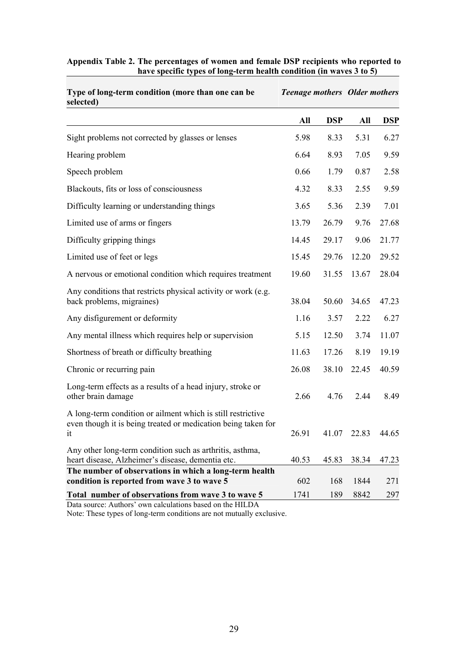| selected)                                                                                                                          |             |            |       |            |
|------------------------------------------------------------------------------------------------------------------------------------|-------------|------------|-------|------------|
|                                                                                                                                    | All         | <b>DSP</b> | All   | <b>DSP</b> |
| Sight problems not corrected by glasses or lenses                                                                                  | 5.98        | 8.33       | 5.31  | 6.27       |
| Hearing problem                                                                                                                    | 6.64        | 8.93       | 7.05  | 9.59       |
| Speech problem                                                                                                                     | 0.66        | 1.79       | 0.87  | 2.58       |
| Blackouts, fits or loss of consciousness                                                                                           | 4.32        | 8.33       | 2.55  | 9.59       |
| Difficulty learning or understanding things                                                                                        | 3.65        | 5.36       | 2.39  | 7.01       |
| Limited use of arms or fingers                                                                                                     | 13.79       | 26.79      | 9.76  | 27.68      |
| Difficulty gripping things                                                                                                         | 14.45       | 29.17      | 9.06  | 21.77      |
| Limited use of feet or legs                                                                                                        | 15.45       | 29.76      | 12.20 | 29.52      |
| A nervous or emotional condition which requires treatment                                                                          | 19.60       | 31.55      | 13.67 | 28.04      |
| Any conditions that restricts physical activity or work (e.g.<br>back problems, migraines)                                         | 38.04       | 50.60      | 34.65 | 47.23      |
| Any disfigurement or deformity                                                                                                     | 1.16        | 3.57       | 2.22  | 6.27       |
| Any mental illness which requires help or supervision                                                                              | 5.15        | 12.50      | 3.74  | 11.07      |
| Shortness of breath or difficulty breathing                                                                                        | 11.63       | 17.26      | 8.19  | 19.19      |
| Chronic or recurring pain                                                                                                          | 26.08       | 38.10      | 22.45 | 40.59      |
| Long-term effects as a results of a head injury, stroke or<br>other brain damage                                                   | 2.66        | 4.76       | 2.44  | 8.49       |
| A long-term condition or ailment which is still restrictive<br>even though it is being treated or medication being taken for<br>it | 26.91       | 41.07      | 22.83 | 44.65      |
| Any other long-term condition such as arthritis, asthma,<br>heart disease, Alzheimer's disease, dementia etc.                      | 40.53       | 45.83      | 38.34 | 47.23      |
| The number of observations in which a long-term health<br>condition is reported from wave 3 to wave 5                              |             | 168        | 1844  | 271        |
| Total number of observations from wave 3 to wave 5                                                                                 | 602<br>1741 | 189        | 8842  | 297        |
| Data source: Authors' own calculations based on the HILDA                                                                          |             |            |       |            |

#### **Appendix Table 2. The percentages of women and female DSP recipients who reported to have specific types of long-term health condition (in waves 3 to 5)**

*Teenage mothers Older mothers*

**Type of long-term condition (more than one can be** 

Note: These types of long-term conditions are not mutually exclusive.